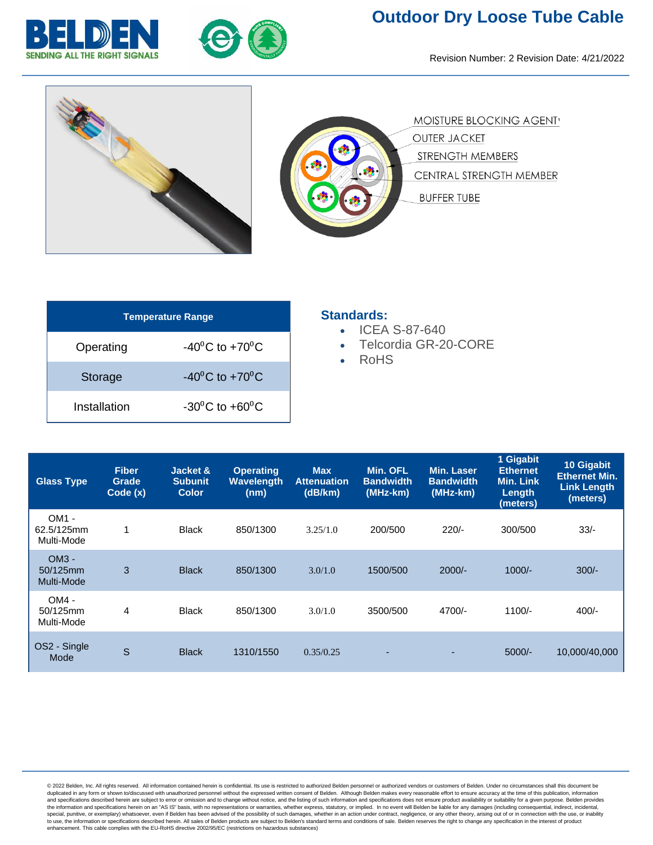



## **Outdoor Dry Loose Tube Cable**

Revision Number: 2 Revision Date: 4/21/2022



| <b>Temperature Range</b> |                                    |  |  |  |  |  |
|--------------------------|------------------------------------|--|--|--|--|--|
| Operating                | $-40^{\circ}$ C to $+70^{\circ}$ C |  |  |  |  |  |
| Storage                  | $-40^{\circ}$ C to $+70^{\circ}$ C |  |  |  |  |  |
| Installation             | $-30^0C$ to $+60^0C$               |  |  |  |  |  |

## **Standards:**

- ICEA S-87-640
- Telcordia GR-20-CORE
- RoHS

| <b>Glass Type</b>                 | <b>Fiber</b><br>Grade<br>Code(x) | Jacket &<br><b>Subunit</b><br><b>Color</b> | <b>Operating</b><br><b>Wavelength</b><br>(nm) | <b>Max</b><br><b>Attenuation</b><br>(dB/km) | Min. OFL<br><b>Bandwidth</b><br>(MHz-km) | Min. Laser<br><b>Bandwidth</b><br>(MHz-km) | 1 Gigabit<br><b>Ethernet</b><br><b>Min. Link</b><br>Length<br>(meters) | 10 Gigabit<br><b>Ethernet Min.</b><br><b>Link Length</b><br>(meters) |
|-----------------------------------|----------------------------------|--------------------------------------------|-----------------------------------------------|---------------------------------------------|------------------------------------------|--------------------------------------------|------------------------------------------------------------------------|----------------------------------------------------------------------|
| OM1 -<br>62.5/125mm<br>Multi-Mode | 1                                | <b>Black</b>                               | 850/1300                                      | 3.25/1.0                                    | 200/500                                  | $220/-$                                    | 300/500                                                                | $33/-$                                                               |
| $OM3 -$<br>50/125mm<br>Multi-Mode | 3                                | <b>Black</b>                               | 850/1300                                      | 3.0/1.0                                     | 1500/500                                 | $2000/-$                                   | $1000/-$                                                               | $300/-$                                                              |
| $OM4 -$<br>50/125mm<br>Multi-Mode | 4                                | <b>Black</b>                               | 850/1300                                      | 3.0/1.0                                     | 3500/500                                 | 4700/-                                     | $1100/-$                                                               | $400/-$                                                              |
| OS2 - Single<br>Mode              | S                                | <b>Black</b>                               | 1310/1550                                     | 0.35/0.25                                   |                                          |                                            | $5000/-$                                                               | 10,000/40,000                                                        |

@ 2022 Belden, Inc. All rights reserved. All information contained herein is confidential. Its use is restricted to authorized Belden personnel or authorized vendors or customers of Belden. Under no circumstances shall thi duplicated in any form or shown to/discussed with unauthorized personnel without the expressed written consent of Belden. Although Belden makes every reasonable effort to ensure accuracy at the time of this publication, in the information and specifications herein on an "AS IS" basis, with no representations or warranties, whether express, statutory, or implied. In no event will Belden be liable for any damages (including consequential, indi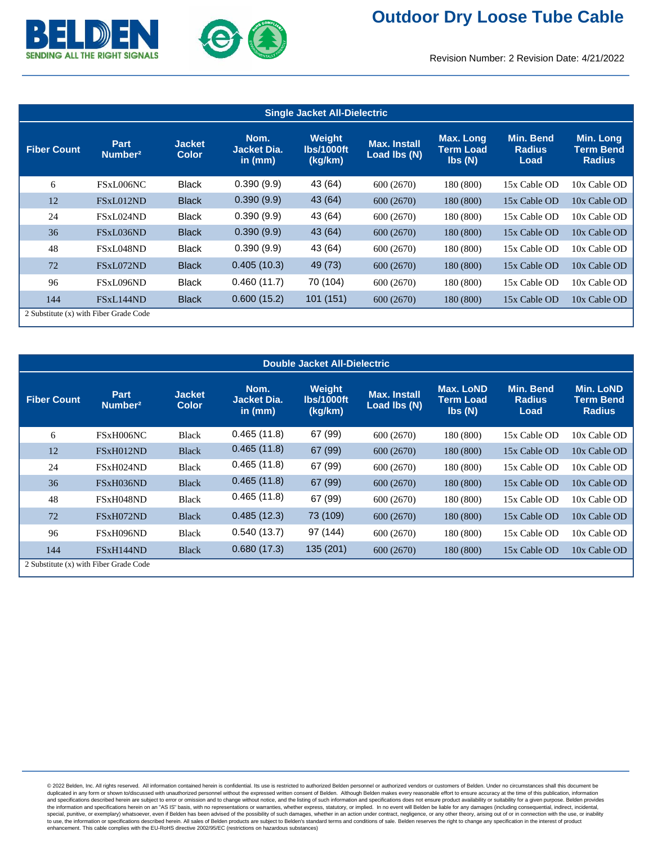



## Revision Number: 2 Revision Date: 4/21/2022

| <b>Single Jacket All-Dielectric</b> |                                        |                               |                                         |                                        |                                     |                                  |                                           |                                         |
|-------------------------------------|----------------------------------------|-------------------------------|-----------------------------------------|----------------------------------------|-------------------------------------|----------------------------------|-------------------------------------------|-----------------------------------------|
| <b>Fiber Count</b>                  | <b>Part</b><br>Number <sup>2</sup>     | <b>Jacket</b><br><b>Color</b> | Nom.<br><b>Jacket Dia.</b><br>in $(mm)$ | Weight<br><b>Ibs/1000ft</b><br>(kg/km) | <b>Max. Install</b><br>Load lbs (N) | Max. Long<br>Term Load<br>Ibs(N) | <b>Min. Bend</b><br><b>Radius</b><br>Load | Min. Long<br>Term Bend<br><b>Radius</b> |
| 6                                   | FSxL006NC                              | <b>Black</b>                  | 0.390(9.9)                              | 43 (64)                                | 600 (2670)                          | 180 (800)                        | 15x Cable OD                              | 10x Cable OD                            |
| 12                                  | FSxL012ND                              | <b>Black</b>                  | 0.390(9.9)                              | 43 (64)                                | 600 (2670)                          | 180 (800)                        | 15x Cable OD                              | 10x Cable OD                            |
| 24                                  | FSxL024ND                              | <b>Black</b>                  | 0.390(9.9)                              | 43 (64)                                | 600 (2670)                          | 180 (800)                        | 15x Cable OD                              | 10x Cable OD                            |
| 36                                  | FSxL036ND                              | <b>Black</b>                  | 0.390(9.9)                              | 43 (64)                                | 600 (2670)                          | 180 (800)                        | 15x Cable OD                              | 10x Cable OD                            |
| 48                                  | FSxL048ND                              | <b>Black</b>                  | 0.390(9.9)                              | 43 (64)                                | 600 (2670)                          | 180 (800)                        | 15x Cable OD                              | 10x Cable OD                            |
| 72                                  | FSxL072ND                              | <b>Black</b>                  | 0.405(10.3)                             | 49 (73)                                | 600 (2670)                          | 180 (800)                        | 15x Cable OD                              | 10x Cable OD                            |
| 96                                  | FSxL096ND                              | <b>Black</b>                  | 0.460(11.7)                             | 70 (104)                               | 600 (2670)                          | 180 (800)                        | 15x Cable OD                              | 10x Cable OD                            |
| 144                                 | FSxL144ND                              | <b>Black</b>                  | 0.600(15.2)                             | 101(151)                               | 600 (2670)                          | 180 (800)                        | 15x Cable OD                              | 10x Cable OD                            |
|                                     | 2 Substitute (x) with Fiber Grade Code |                               |                                         |                                        |                                     |                                  |                                           |                                         |

| <b>Double Jacket All-Dielectric</b> |                                        |                               |                                         |                                 |                                     |                                                             |                                    |                                                |
|-------------------------------------|----------------------------------------|-------------------------------|-----------------------------------------|---------------------------------|-------------------------------------|-------------------------------------------------------------|------------------------------------|------------------------------------------------|
| <b>Fiber Count</b>                  | Part<br>Number <sup>2</sup>            | <b>Jacket</b><br><b>Color</b> | Nom.<br><b>Jacket Dia.</b><br>in $(mm)$ | Weight<br>lbs/1000ft<br>(kg/km) | <b>Max. Install</b><br>Load lbs (N) | Max. LoND<br><b>Term Load</b><br>$\mathsf{lbs}(\mathsf{N})$ | Min. Bend<br><b>Radius</b><br>Load | <b>Min. LoND</b><br>Term Bend<br><b>Radius</b> |
| 6                                   | FSxH006NC                              | <b>Black</b>                  | 0.465(11.8)                             | 67 (99)                         | 600 (2670)                          | 180 (800)                                                   | 15x Cable OD                       | 10x Cable OD                                   |
| 12                                  | FSxH012ND                              | <b>Black</b>                  | 0.465(11.8)                             | 67 (99)                         | 600 (2670)                          | 180 (800)                                                   | 15x Cable OD                       | 10x Cable OD                                   |
| 24                                  | FSxH024ND                              | <b>Black</b>                  | 0.465(11.8)                             | 67 (99)                         | 600 (2670)                          | 180 (800)                                                   | 15x Cable OD                       | 10x Cable OD                                   |
| 36                                  | FSxH036ND                              | <b>Black</b>                  | 0.465(11.8)                             | 67 (99)                         | 600 (2670)                          | 180 (800)                                                   | 15x Cable OD                       | 10x Cable OD                                   |
| 48                                  | FSxH048ND                              | <b>Black</b>                  | 0.465(11.8)                             | 67 (99)                         | 600 (2670)                          | 180 (800)                                                   | 15x Cable OD                       | 10x Cable OD                                   |
| 72                                  | FSxH072ND                              | <b>Black</b>                  | 0.485(12.3)                             | 73 (109)                        | 600 (2670)                          | 180 (800)                                                   | 15x Cable OD                       | 10x Cable OD                                   |
| 96                                  | FSxH096ND                              | <b>Black</b>                  | 0.540(13.7)                             | 97 (144)                        | 600 (2670)                          | 180 (800)                                                   | 15x Cable OD                       | 10x Cable OD                                   |
| 144                                 | FSxH144ND                              | <b>Black</b>                  | 0.680(17.3)                             | 135 (201)                       | 600 (2670)                          | 180 (800)                                                   | 15x Cable OD                       | 10x Cable OD                                   |
|                                     | 2 Substitute (x) with Fiber Grade Code |                               |                                         |                                 |                                     |                                                             |                                    |                                                |

@ 2022 Belden, Inc. All rights reserved. All information contained herein is confidential. Its use is restricted to authorized Belden personnel or authorized vendors or customers of Belden. Under no circumstances shall thi duplicated in any form or shown to/discussed with unauthorized personnel without the expressed written consent of Belden. Although Belden makes every reasonable effort to ensure accuracy at the time of this publication, in